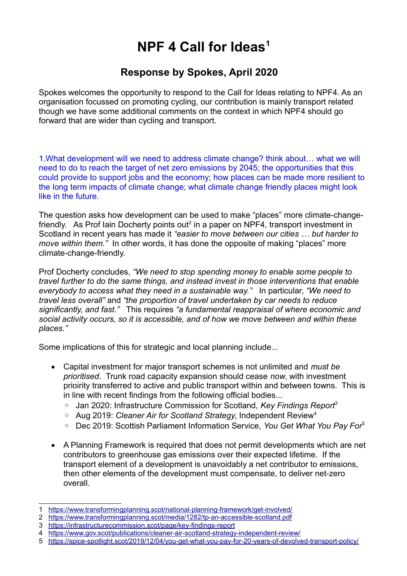## **NPF 4 Call for Ideas[1](#page-0-0)**

## **Response by Spokes, April 2020**

Spokes welcomes the opportunity to respond to the Call for Ideas relating to NPF4. As an organisation focussed on promoting cycling, our contribution is mainly transport related though we have some additional comments on the context in which NPF4 should go forward that are wider than cycling and transport.

1.What development will we need to address climate change? think about… what we will need to do to reach the target of net zero emissions by 2045; the opportunities that this could provide to support jobs and the economy; how places can be made more resilient to the long term impacts of climate change; what climate change friendly places might look like in the future.

The question asks how development can be used to make "places" more climate-change-friendly. As Prof lain Docherty points out<sup>[2](#page-0-1)</sup> in a paper on NPF4, transport investment in Scotland in recent years has made it *"easier to move between our cities … but harder to move within them.*" In other words, it has done the opposite of making "places" more climate-change-friendly.

Prof Docherty concludes, *"We need to stop spending money to enable some people to travel further to do the same things, and instead invest in those interventions that enable everybody to access what they need in a sustainable way."* In particular, *"We need to travel less overall"* and *"the proportion of travel undertaken by car needs to reduce significantly, and fast."* This requires *"a fundamental reappraisal of where economic and social activity occurs, so it is accessible, and of how we move between and within these places."*

Some implications of this for strategic and local planning include...

- Capital investment for major transport schemes is not unlimited and *must be prioritised*. Trunk road capacity expansion should cease *now*, with investment prioirity transferred to active and public transport within and between towns. This is in line with recent findings from the following official bodies...
	- Jan 2020: Infrastructure Commission for Scotland, *Key Findings Report<sup>[3](#page-0-2)</sup>*
	- Aug 2019: *Cleaner Air for Scotland Strategy*, Independent Review[4](#page-0-3)
	- Dec 2019: Scottish Parliament Information Service, *You Get What You Pay For*[5](#page-0-4)
- A Planning Framework is required that does not permit developments which are net contributors to greenhouse gas emissions over their expected lifetime. If the transport element of a development is unavoidably a net contributor to emissions, then other elements of the development must compensate, to deliver net-zero overall.

<span id="page-0-0"></span><sup>1</sup> <https://www.transformingplanning.scot/national-planning-framework/get-involved/>

<span id="page-0-1"></span><sup>2</sup> <https://www.transformingplanning.scot/media/1282/tp-an-accessible-scotland.pdf>

<span id="page-0-2"></span><sup>3</sup> <https://infrastructurecommission.scot/page/key-findings-report>

<span id="page-0-3"></span><sup>4</sup> <https://www.gov.scot/publications/cleaner-air-scotland-strategy-independent-review/>

<span id="page-0-4"></span><sup>5</sup> <https://spice-spotlight.scot/2019/12/04/you-get-what-you-pay-for-20-years-of-devolved-transport-policy/>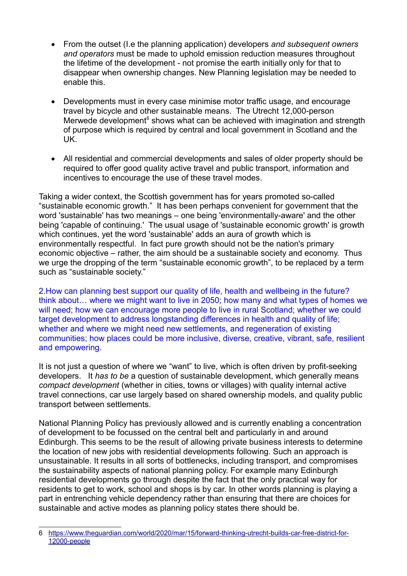- From the outset (I.e the planning application) developers *and subsequent owners and operators* must be made to uphold emission reduction measures throughout the lifetime of the development - not promise the earth initially only for that to disappear when ownership changes. New Planning legislation may be needed to enable this.
- Developments must in every case minimise motor traffic usage, and encourage travel by bicycle and other sustainable means. The Utrecht 12,000-person Merwede development $6$  shows what can be achieved with imagination and strength of purpose which is required by central and local government in Scotland and the UK.
- All residential and commercial developments and sales of older property should be required to offer good quality active travel and public transport, information and incentives to encourage the use of these travel modes.

Taking a wider context, the Scottish government has for years promoted so-called "sustainable economic growth." It has been perhaps convenient for government that the word 'sustainable' has two meanings – one being 'environmentally-aware' and the other being 'capable of continuing.' The usual usage of 'sustainable economic growth' is growth which continues, yet the word 'sustainable' adds an aura of growth which is environmentally respectful. In fact pure growth should not be the nation's primary economic objective – rather, the aim should be a sustainable society and economy. Thus we urge the dropping of the term "sustainable economic growth", to be replaced by a term such as "sustainable society."

2.How can planning best support our quality of life, health and wellbeing in the future? think about… where we might want to live in 2050; how many and what types of homes we will need; how we can encourage more people to live in rural Scotland; whether we could target development to address longstanding differences in health and quality of life; whether and where we might need new settlements, and regeneration of existing communities; how places could be more inclusive, diverse, creative, vibrant, safe, resilient and empowering.

It is not just a question of where we "want" to live, which is often driven by profit-seeking developers. It *has to be* a question of sustainable development, which generally means *compact development* (whether in cities, towns or villages) with quality internal active travel connections, car use largely based on shared ownership models, and quality public transport between settlements.

National Planning Policy has previously allowed and is currently enabling a concentration of development to be focussed on the central belt and particularly in and around Edinburgh. This seems to be the result of allowing private business interests to determine the location of new jobs with residential developments following. Such an approach is unsustainable. It results in all sorts of bottlenecks, including transport, and compromises the sustainability aspects of national planning policy. For example many Edinburgh residential developments go through despite the fact that the only practical way for residents to get to work, school and shops is by car. In other words planning is playing a part in entrenching vehicle dependency rather than ensuring that there are choices for sustainable and active modes as planning policy states there should be.

<span id="page-1-0"></span><sup>6</sup> [https://www.theguardian.com/world/2020/mar/15/forward-thinking-utrecht-builds-car-free-district-for-](https://www.theguardian.com/world/2020/mar/15/forward-thinking-utrecht-builds-car-free-district-for-12000-people)[12000-people](https://www.theguardian.com/world/2020/mar/15/forward-thinking-utrecht-builds-car-free-district-for-12000-people)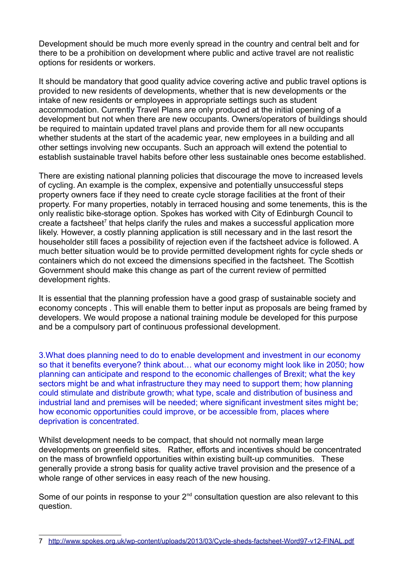Development should be much more evenly spread in the country and central belt and for there to be a prohibition on development where public and active travel are not realistic options for residents or workers.

It should be mandatory that good quality advice covering active and public travel options is provided to new residents of developments, whether that is new developments or the intake of new residents or employees in appropriate settings such as student accommodation. Currently Travel Plans are only produced at the initial opening of a development but not when there are new occupants. Owners/operators of buildings should be required to maintain updated travel plans and provide them for all new occupants whether students at the start of the academic year, new employees in a building and all other settings involving new occupants. Such an approach will extend the potential to establish sustainable travel habits before other less sustainable ones become established.

There are existing national planning policies that discourage the move to increased levels of cycling. An example is the complex, expensive and potentially unsuccessful steps property owners face if they need to create cycle storage facilities at the front of their property. For many properties, notably in terraced housing and some tenements, this is the only realistic bike-storage option. Spokes has worked with City of Edinburgh Council to create a factsheet<sup>[7](#page-2-0)</sup> that helps clarify the rules and makes a successful application more likely. However, a costly planning application is still necessary and in the last resort the householder still faces a possibility of rejection even if the factsheet advice is followed. A much better situation would be to provide permitted development rights for cycle sheds or containers which do not exceed the dimensions specified in the factsheet. The Scottish Government should make this change as part of the current review of permitted development rights.

It is essential that the planning profession have a good grasp of sustainable society and economy concepts . This will enable them to better input as proposals are being framed by developers. We would propose a national training module be developed for this purpose and be a compulsory part of continuous professional development.

3.What does planning need to do to enable development and investment in our economy so that it benefits everyone? think about… what our economy might look like in 2050; how planning can anticipate and respond to the economic challenges of Brexit; what the key sectors might be and what infrastructure they may need to support them; how planning could stimulate and distribute growth; what type, scale and distribution of business and industrial land and premises will be needed; where significant investment sites might be; how economic opportunities could improve, or be accessible from, places where deprivation is concentrated.

Whilst development needs to be compact, that should not normally mean large developments on greenfield sites. Rather, efforts and incentives should be concentrated on the mass of brownfield opportunities within existing built-up communities. These generally provide a strong basis for quality active travel provision and the presence of a whole range of other services in easy reach of the new housing.

Some of our points in response to your  $2<sup>nd</sup>$  consultation question are also relevant to this question.

<span id="page-2-0"></span><sup>7</sup> <http://www.spokes.org.uk/wp-content/uploads/2013/03/Cycle-sheds-factsheet-Word97-v12-FINAL.pdf>